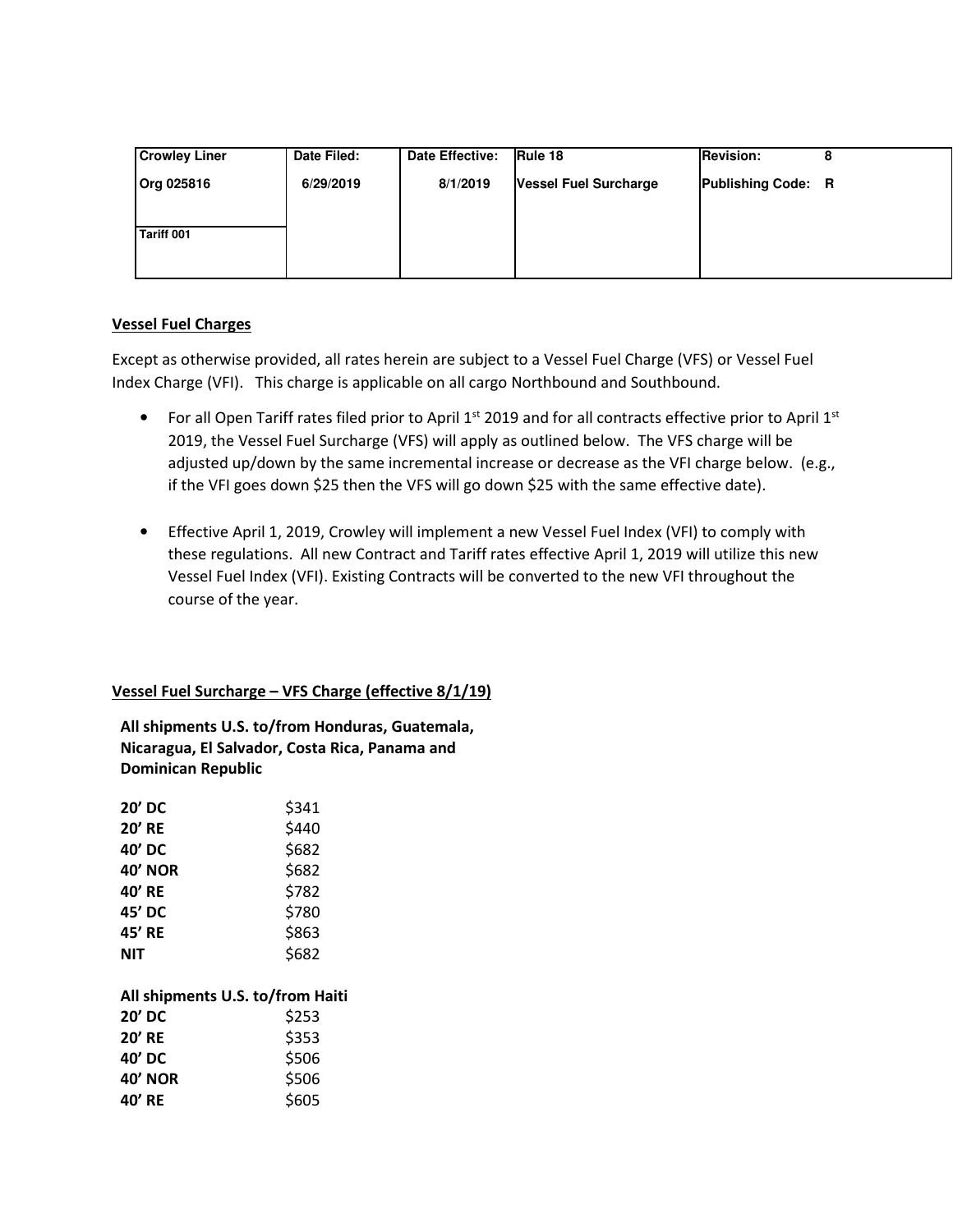| <b>Crowley Liner</b> | Date Filed: | Date Effective: | <b>IRule 18</b>       | <b>Revision:</b>          |  |
|----------------------|-------------|-----------------|-----------------------|---------------------------|--|
| <b>Org 025816</b>    | 6/29/2019   | 8/1/2019        | Vessel Fuel Surcharge | <b>Publishing Code: R</b> |  |
|                      |             |                 |                       |                           |  |
| Tariff 001           |             |                 |                       |                           |  |
|                      |             |                 |                       |                           |  |
|                      |             |                 |                       |                           |  |

# **Vessel Fuel Charges**

Except as otherwise provided, all rates herein are subject to a Vessel Fuel Charge (VFS) or Vessel Fuel Index Charge (VFI). This charge is applicable on all cargo Northbound and Southbound.

- For all Open Tariff rates filed prior to April  $1^{st}$  2019 and for all contracts effective prior to April  $1^{st}$ 2019, the Vessel Fuel Surcharge (VFS) will apply as outlined below. The VFS charge will be adjusted up/down by the same incremental increase or decrease as the VFI charge below. (e.g., if the VFI goes down \$25 then the VFS will go down \$25 with the same effective date).
- Effective April 1, 2019, Crowley will implement a new Vessel Fuel Index (VFI) to comply with these regulations. All new Contract and Tariff rates effective April 1, 2019 will utilize this new Vessel Fuel Index (VFI). Existing Contracts will be converted to the new VFI throughout the course of the year.

# **Vessel Fuel Surcharge – VFS Charge (effective 8/1/19)**

**All shipments U.S. to/from Honduras, Guatemala, Nicaragua, El Salvador, Costa Rica, Panama and Dominican Republic** 

| 20' DC         | \$341 |
|----------------|-------|
| <b>20' RE</b>  | \$440 |
| 40' DC         | \$682 |
| <b>40' NOR</b> | \$682 |
| 40' RE         | \$782 |
| 45' DC         | \$780 |
| 45' RE         | \$863 |
| NIT            | \$682 |
|                |       |

## **All shipments U.S. to/from Haiti**

| 20' DC        | \$253 |
|---------------|-------|
| <b>20' RE</b> | \$353 |
| 40' DC        | \$506 |
| 40' NOR       | \$506 |
| 40' RE        | \$605 |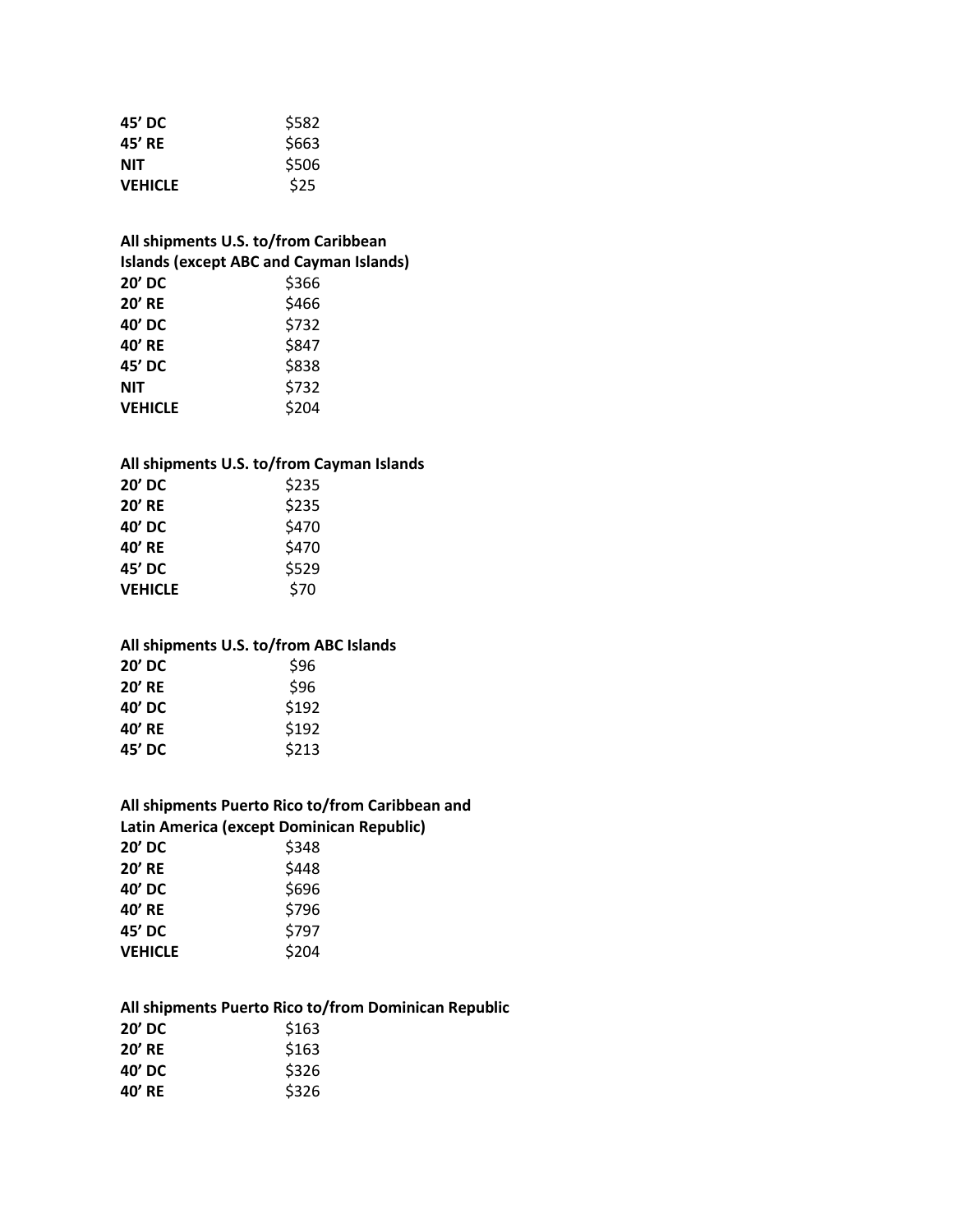| 45' DC         | \$582 |
|----------------|-------|
| 45' RE         | \$663 |
| NIT            | \$506 |
| <b>VEHICLE</b> | \$25  |

# **All shipments U.S. to/from Caribbean Islands (except ABC and Cayman Islands) 20' DC** \$366 **20' RE**  $\begin{array}{c} \text{$\diamond$466} \\ \text{40'}\text{ DC} \end{array}$ **40' DC** \$732 **40' RE** \$847 **45' DC** \$838 **NIT**  $$732$ **VEHICLE**  $$204$

### **All shipments U.S. to/from Cayman Islands**

| 20' DC         | \$235 |
|----------------|-------|
| <b>20' RE</b>  | \$235 |
| 40' DC         | \$470 |
| 40' RE         | \$470 |
| 45' DC         | \$529 |
| <b>VEHICLE</b> | \$70  |

# **All shipments U.S. to/from ABC Islands 20' DC** \$96 **20' RE**  $\frac{6}{96}$ **40' DC** \$192 **40' RE** \$192 **45' DC** \$213

| All shipments Puerto Rico to/from Caribbean and |       |  |  |
|-------------------------------------------------|-------|--|--|
| Latin America (except Dominican Republic)       |       |  |  |
| 20' DC                                          | \$348 |  |  |
| <b>20' RE</b>                                   | \$448 |  |  |
| 40' DC                                          | \$696 |  |  |
| 40' RE                                          | \$796 |  |  |
| 45' DC                                          | \$797 |  |  |
| <b>VEHICLE</b>                                  | \$204 |  |  |

#### **All shipments Puerto Rico to/from Dominican Republic**  $20'$  **DC**

| --     | ----  |
|--------|-------|
| 20' RE | \$163 |
| 40' DC | \$326 |
| 40' RE | \$326 |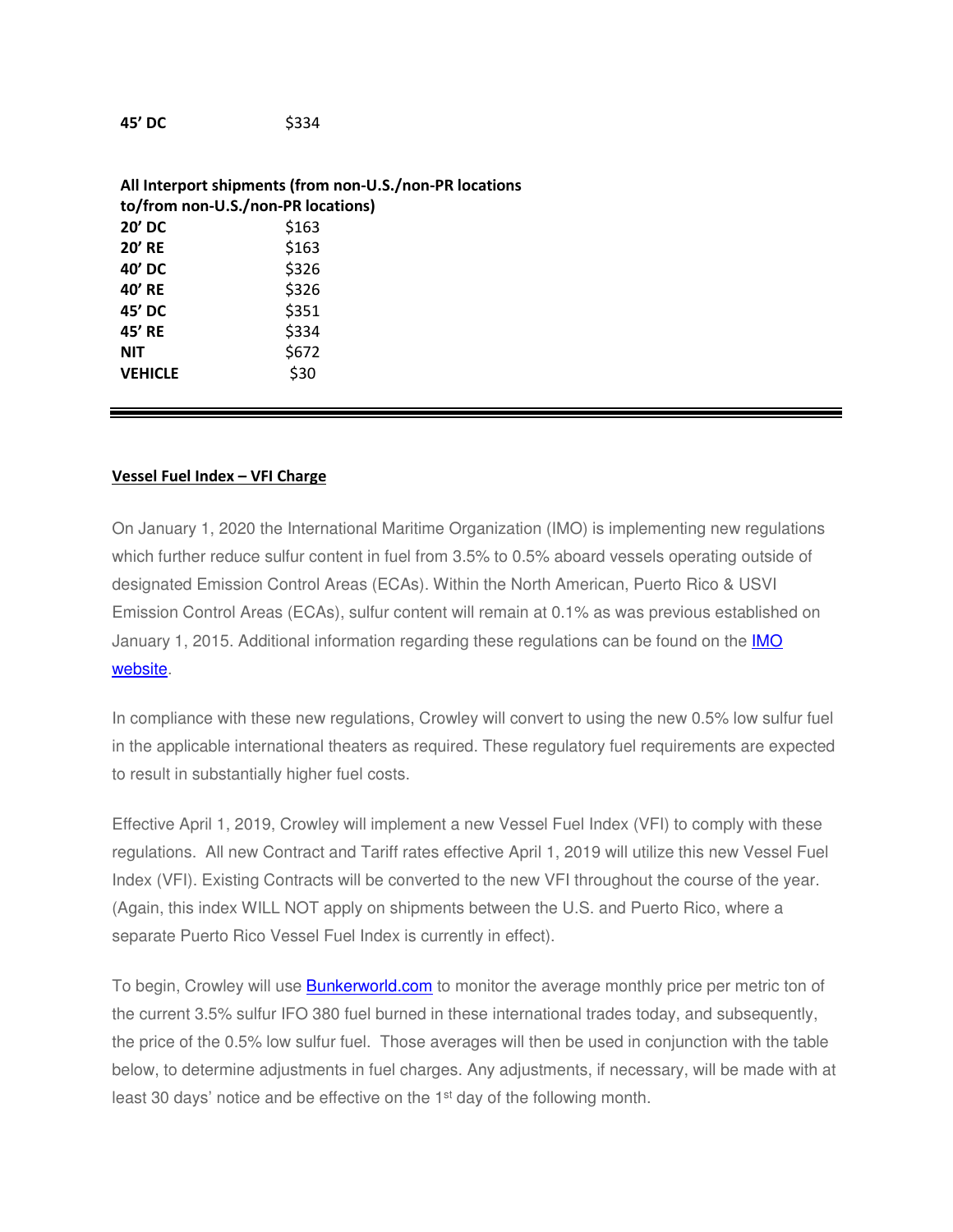**45' DC** \$334

| All Interport shipments (from non-U.S./non-PR locations |       |  |
|---------------------------------------------------------|-------|--|
| to/from non-U.S./non-PR locations)                      |       |  |
| $20'$ DC                                                | \$163 |  |
| $20'$ RE                                                | \$163 |  |
| 40' DC                                                  | \$326 |  |
| 40' RE                                                  | \$326 |  |
| 45' DC                                                  | \$351 |  |
| 45' RE                                                  | \$334 |  |
| <b>NIT</b>                                              | \$672 |  |
| <b>VEHICLE</b>                                          | \$30  |  |

## **Vessel Fuel Index – VFI Charge**

On January 1, 2020 the International Maritime Organization (IMO) is implementing new regulations which further reduce sulfur content in fuel from 3.5% to 0.5% aboard vessels operating outside of designated Emission Control Areas (ECAs). Within the North American, Puerto Rico & USVI Emission Control Areas (ECAs), sulfur content will remain at 0.1% as was previous established on January 1, 2015. Additional information regarding these regulations can be found on the **IMO** website.

In compliance with these new regulations, Crowley will convert to using the new 0.5% low sulfur fuel in the applicable international theaters as required. These regulatory fuel requirements are expected to result in substantially higher fuel costs.

Effective April 1, 2019, Crowley will implement a new Vessel Fuel Index (VFI) to comply with these regulations. All new Contract and Tariff rates effective April 1, 2019 will utilize this new Vessel Fuel Index (VFI). Existing Contracts will be converted to the new VFI throughout the course of the year. (Again, this index WILL NOT apply on shipments between the U.S. and Puerto Rico, where a separate Puerto Rico Vessel Fuel Index is currently in effect).

To begin, Crowley will use **Bunkerworld.com** to monitor the average monthly price per metric ton of the current 3.5% sulfur IFO 380 fuel burned in these international trades today, and subsequently, the price of the 0.5% low sulfur fuel. Those averages will then be used in conjunction with the table below, to determine adjustments in fuel charges. Any adjustments, if necessary, will be made with at least 30 days' notice and be effective on the 1<sup>st</sup> day of the following month.